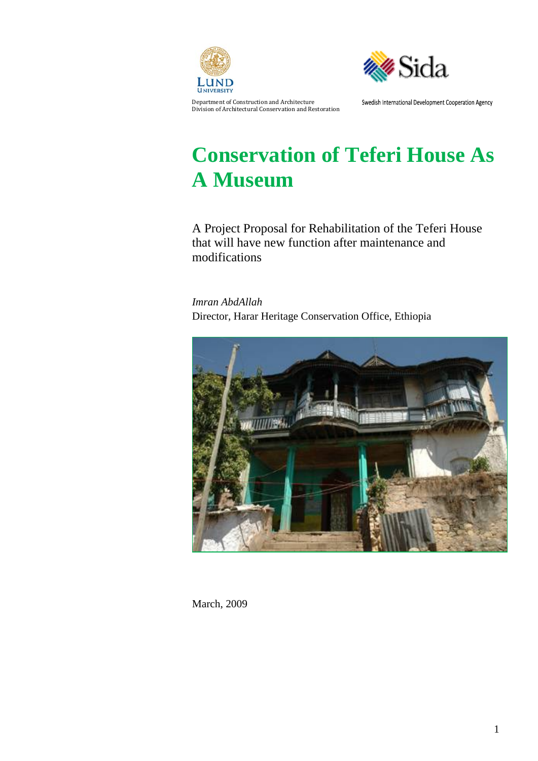



Department of Construction and Architecture Division of Architectural Conservation and Restoration Swedish International Development Cooperation Agency

# **Conservation of Teferi House As A Museum**

A Project Proposal for Rehabilitation of the Teferi House that will have new function after maintenance and modifications

*Imran AbdAllah*  Director, Harar Heritage Conservation Office, Ethiopia



March, 2009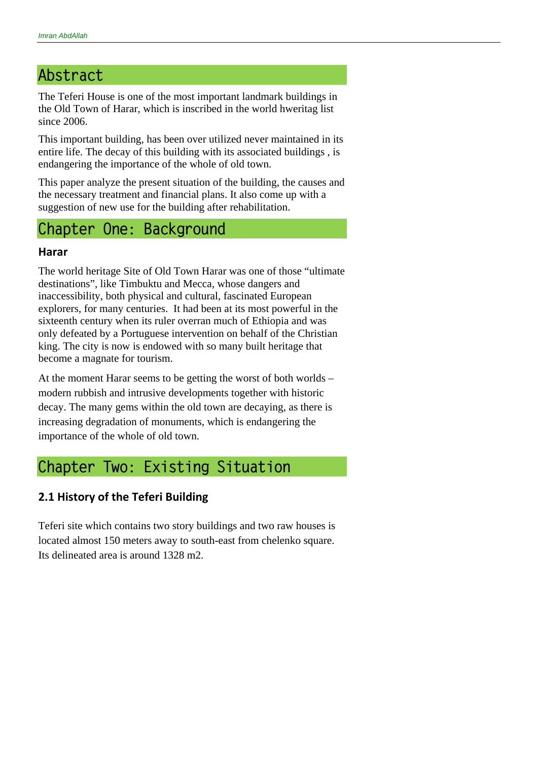## **Abstract**

The Teferi House is one of the most important landmark buildings in the Old Town of Harar, which is inscribed in the world hweritag list since 2006.

This important building, has been over utilized never maintained in its entire life. The decay of this building with its associated buildings , is endangering the importance of the whole of old town.

This paper analyze the present situation of the building, the causes and the necessary treatment and financial plans. It also come up with a suggestion of new use for the building after rehabilitation.

## **Chapter One: Background**

#### **Harar**

The world heritage Site of Old Town Harar was one of those "ultimate destinations", like Timbuktu and Mecca, whose dangers and inaccessibility, both physical and cultural, fascinated European explorers, for many centuries. It had been at its most powerful in the sixteenth century when its ruler overran much of Ethiopia and was only defeated by a Portuguese intervention on behalf of the Christian king. The city is now is endowed with so many built heritage that become a magnate for tourism.

At the moment Harar seems to be getting the worst of both worlds – modern rubbish and intrusive developments together with historic decay. The many gems within the old town are decaying, as there is increasing degradation of monuments, which is endangering the importance of the whole of old town.

## **Chapter Two: Existing Situation**

### **2.1 History of the Teferi Building**

Teferi site which contains two story buildings and two raw houses is located almost 150 meters away to south-east from chelenko square. Its delineated area is around 1328 m2.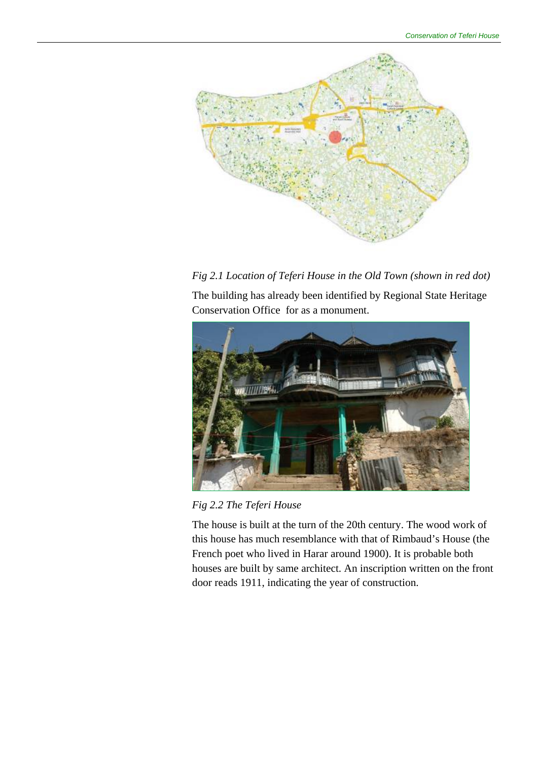

*Fig 2.1 Location of Teferi House in the Old Town (shown in red dot)* 

The building has already been identified by Regional State Heritage Conservation Office for as a monument.



*Fig 2.2 The Teferi House* 

The house is built at the turn of the 20th century. The wood work of this house has much resemblance with that of Rimbaud's House (the French poet who lived in Harar around 1900). It is probable both houses are built by same architect. An inscription written on the front door reads 1911, indicating the year of construction.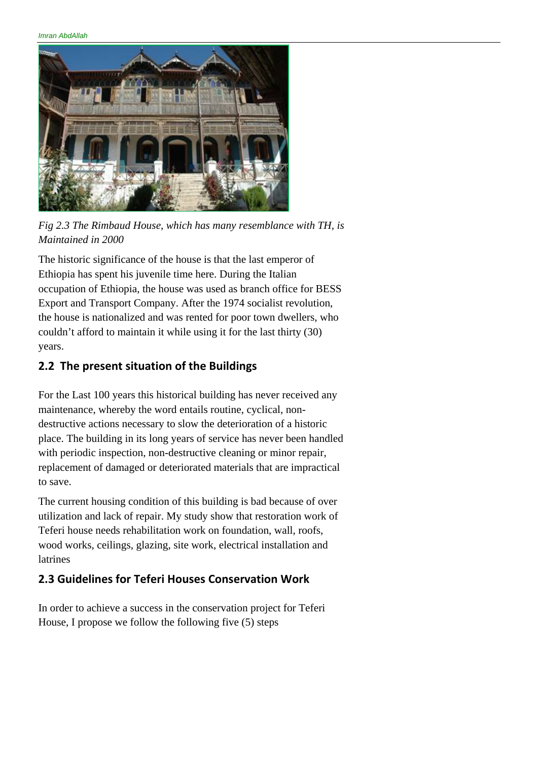*Imran AbdAllah* 



*Fig 2.3 The Rimbaud House, which has many resemblance with TH, is Maintained in 2000* 

The historic significance of the house is that the last emperor of Ethiopia has spent his juvenile time here. During the Italian occupation of Ethiopia, the house was used as branch office for BESS Export and Transport Company. After the 1974 socialist revolution, the house is nationalized and was rented for poor town dwellers, who couldn't afford to maintain it while using it for the last thirty (30) years.

### **2.2 The present situation of the Buildings**

For the Last 100 years this historical building has never received any maintenance, whereby the word entails routine, cyclical, nondestructive actions necessary to slow the deterioration of a historic place. The building in its long years of service has never been handled with periodic inspection, non-destructive cleaning or minor repair, replacement of damaged or deteriorated materials that are impractical to save.

The current housing condition of this building is bad because of over utilization and lack of repair. My study show that restoration work of Teferi house needs rehabilitation work on foundation, wall, roofs, wood works, ceilings, glazing, site work, electrical installation and latrines

### **2.3 Guidelines for Teferi Houses Conservation Work**

In order to achieve a success in the conservation project for Teferi House, I propose we follow the following five (5) steps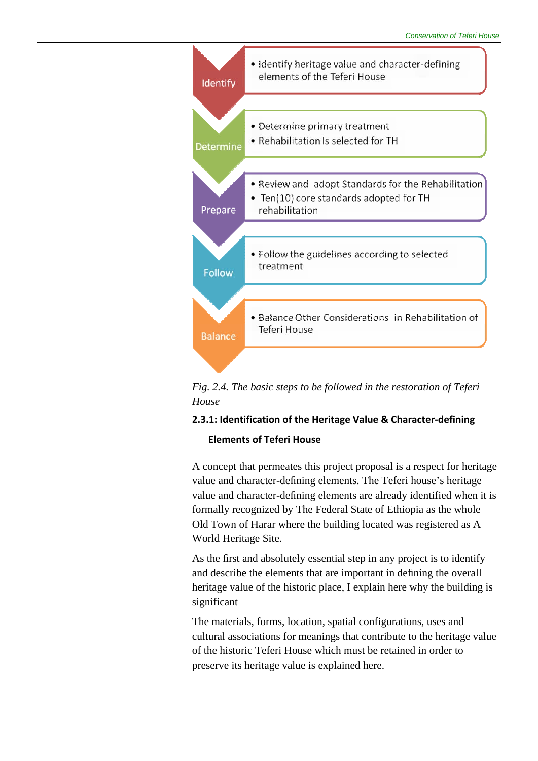

*Fig. 2.4. The basic steps to be followed in the restoration of Teferi House* 

#### **2.3.1: Identification of the Heritage Value & Character‐defining**

#### **Elements of Teferi House**

A concept that permeates this project proposal is a respect for heritage value and character-defining elements. The Teferi house's heritage value and character-defining elements are already identified when it is formally recognized by The Federal State of Ethiopia as the whole Old Town of Harar where the building located was registered as A World Heritage Site.

As the first and absolutely essential step in any project is to identify and describe the elements that are important in defining the overall heritage value of the historic place, I explain here why the building is significant

The materials, forms, location, spatial configurations, uses and cultural associations for meanings that contribute to the heritage value of the historic Teferi House which must be retained in order to preserve its heritage value is explained here.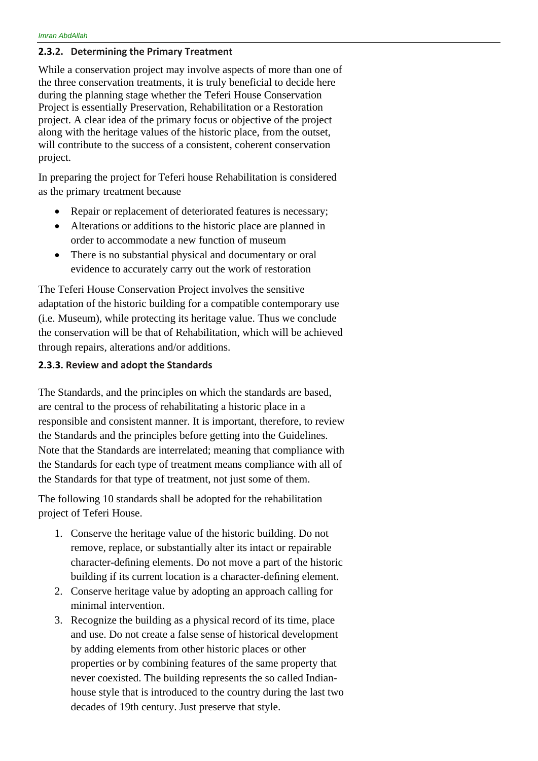#### **2.3.2. Determining the Primary Treatment**

While a conservation project may involve aspects of more than one of the three conservation treatments, it is truly beneficial to decide here during the planning stage whether the Teferi House Conservation Project is essentially Preservation, Rehabilitation or a Restoration project. A clear idea of the primary focus or objective of the project along with the heritage values of the historic place, from the outset, will contribute to the success of a consistent, coherent conservation project.

In preparing the project for Teferi house Rehabilitation is considered as the primary treatment because

- Repair or replacement of deteriorated features is necessary;
- Alterations or additions to the historic place are planned in order to accommodate a new function of museum
- There is no substantial physical and documentary or oral evidence to accurately carry out the work of restoration

The Teferi House Conservation Project involves the sensitive adaptation of the historic building for a compatible contemporary use (i.e. Museum), while protecting its heritage value. Thus we conclude the conservation will be that of Rehabilitation, which will be achieved through repairs, alterations and/or additions.

#### **2.3.3. Review and adopt the Standards**

The Standards, and the principles on which the standards are based, are central to the process of rehabilitating a historic place in a responsible and consistent manner. It is important, therefore, to review the Standards and the principles before getting into the Guidelines. Note that the Standards are interrelated; meaning that compliance with the Standards for each type of treatment means compliance with all of the Standards for that type of treatment, not just some of them.

The following 10 standards shall be adopted for the rehabilitation project of Teferi House.

- 1. Conserve the heritage value of the historic building. Do not remove, replace, or substantially alter its intact or repairable character-defining elements. Do not move a part of the historic building if its current location is a character-defining element.
- 2. Conserve heritage value by adopting an approach calling for minimal intervention.
- 3. Recognize the building as a physical record of its time, place and use. Do not create a false sense of historical development by adding elements from other historic places or other properties or by combining features of the same property that never coexisted. The building represents the so called Indianhouse style that is introduced to the country during the last two decades of 19th century. Just preserve that style.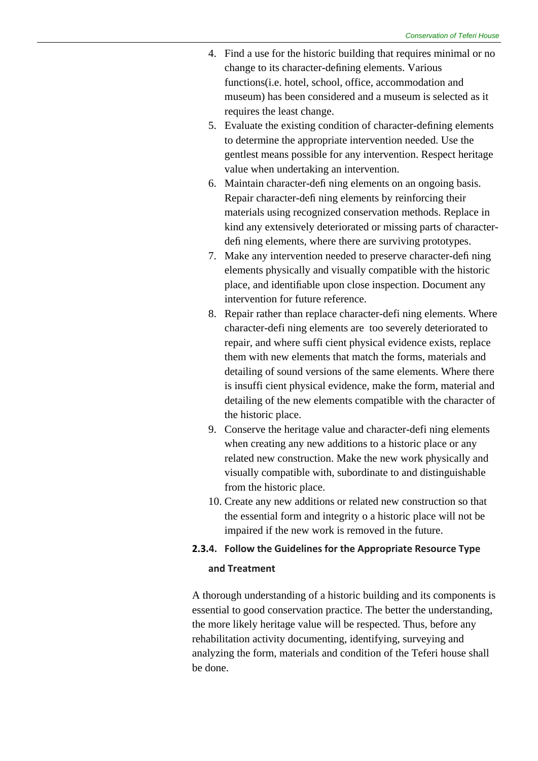- 4. Find a use for the historic building that requires minimal or no change to its character-defining elements. Various functions(i.e. hotel, school, office, accommodation and museum) has been considered and a museum is selected as it requires the least change.
- 5. Evaluate the existing condition of character-defining elements to determine the appropriate intervention needed. Use the gentlest means possible for any intervention. Respect heritage value when undertaking an intervention.
- 6. Maintain character-defi ning elements on an ongoing basis. Repair character-defi ning elements by reinforcing their materials using recognized conservation methods. Replace in kind any extensively deteriorated or missing parts of characterdefi ning elements, where there are surviving prototypes.
- 7. Make any intervention needed to preserve character-defi ning elements physically and visually compatible with the historic place, and identifiable upon close inspection. Document any intervention for future reference.
- 8. Repair rather than replace character-defi ning elements. Where character-defi ning elements are too severely deteriorated to repair, and where suffi cient physical evidence exists, replace them with new elements that match the forms, materials and detailing of sound versions of the same elements. Where there is insuffi cient physical evidence, make the form, material and detailing of the new elements compatible with the character of the historic place.
- 9. Conserve the heritage value and character-defi ning elements when creating any new additions to a historic place or any related new construction. Make the new work physically and visually compatible with, subordinate to and distinguishable from the historic place.
- 10. Create any new additions or related new construction so that the essential form and integrity o a historic place will not be impaired if the new work is removed in the future.

### **2.3.4. Follow the Guidelines for the Appropriate Resource Type and Treatment**

A thorough understanding of a historic building and its components is essential to good conservation practice. The better the understanding, the more likely heritage value will be respected. Thus, before any rehabilitation activity documenting, identifying, surveying and analyzing the form, materials and condition of the Teferi house shall be done.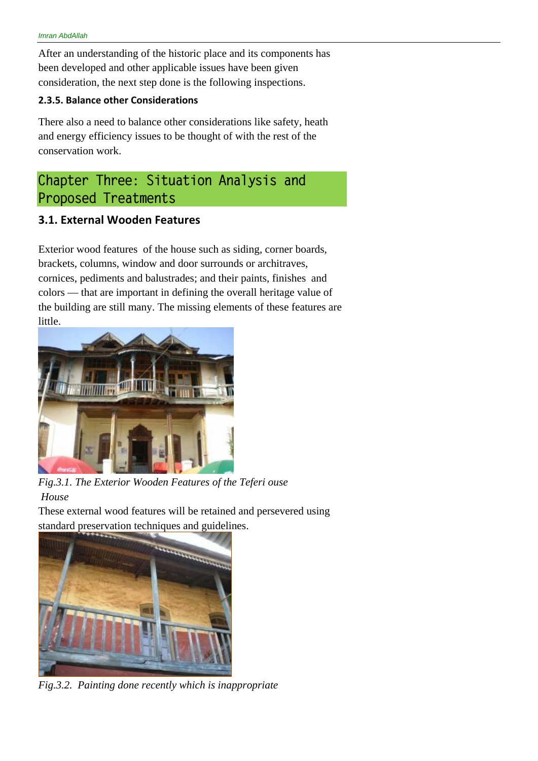After an understanding of the historic place and its components has been developed and other applicable issues have been given consideration, the next step done is the following inspections.

#### **2.3.5. Balance other Considerations**

There also a need to balance other considerations like safety, heath and energy efficiency issues to be thought of with the rest of the conservation work.

## **Chapter Three: Situation Analysis and Proposed Treatments**

### **3.1. External Wooden Features**

Exterior wood features of the house such as siding, corner boards, brackets, columns, window and door surrounds or architraves, cornices, pediments and balustrades; and their paints, finishes and colors — that are important in defining the overall heritage value of the building are still many. The missing elements of these features are little.



*Fig.3.1. The Exterior Wooden Features of the Teferi ouse House* 

These external wood features will be retained and persevered using standard preservation techniques and guidelines.



*Fig.3.2. Painting done recently which is inappropriate*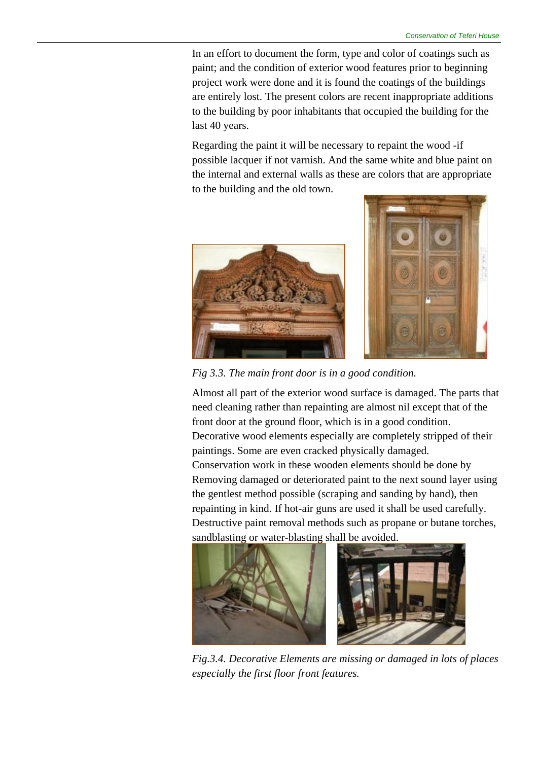In an effort to document the form, type and color of coatings such as paint; and the condition of exterior wood features prior to beginning project work were done and it is found the coatings of the buildings are entirely lost. The present colors are recent inappropriate additions to the building by poor inhabitants that occupied the building for the last 40 years.

Regarding the paint it will be necessary to repaint the wood -if possible lacquer if not varnish. And the same white and blue paint on the internal and external walls as these are colors that are appropriate to the building and the old town.





*Fig 3.3. The main front door is in a good condition.* 

Almost all part of the exterior wood surface is damaged. The parts that need cleaning rather than repainting are almost nil except that of the front door at the ground floor, which is in a good condition. Decorative wood elements especially are completely stripped of their paintings. Some are even cracked physically damaged. Conservation work in these wooden elements should be done by Removing damaged or deteriorated paint to the next sound layer using the gentlest method possible (scraping and sanding by hand), then repainting in kind. If hot-air guns are used it shall be used carefully. Destructive paint removal methods such as propane or butane torches,



*Fig.3.4. Decorative Elements are missing or damaged in lots of places especially the first floor front features.*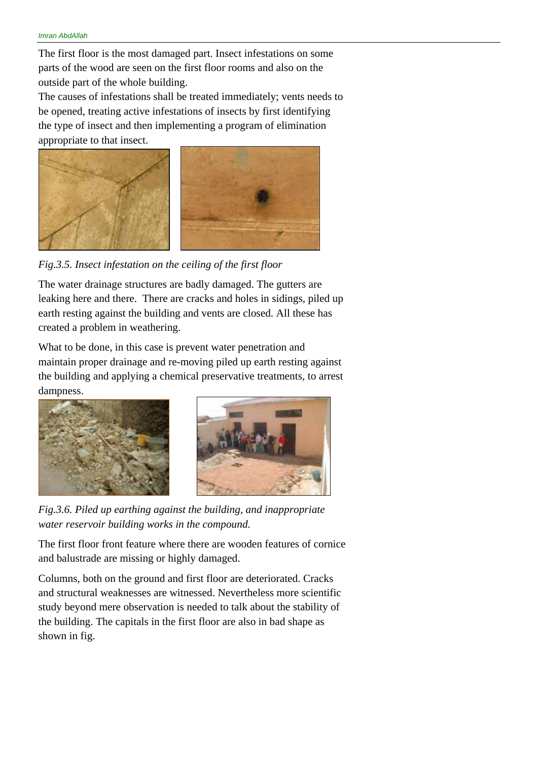The first floor is the most damaged part. Insect infestations on some parts of the wood are seen on the first floor rooms and also on the outside part of the whole building.

The causes of infestations shall be treated immediately; vents needs to be opened, treating active infestations of insects by first identifying the type of insect and then implementing a program of elimination appropriate to that insect.



*Fig.3.5. Insect infestation on the ceiling of the first floor* 

The water drainage structures are badly damaged. The gutters are leaking here and there. There are cracks and holes in sidings, piled up earth resting against the building and vents are closed. All these has created a problem in weathering.

What to be done, in this case is prevent water penetration and maintain proper drainage and re-moving piled up earth resting against the building and applying a chemical preservative treatments, to arrest dampness.



*Fig.3.6. Piled up earthing against the building, and inappropriate water reservoir building works in the compound.* 

The first floor front feature where there are wooden features of cornice and balustrade are missing or highly damaged.

Columns, both on the ground and first floor are deteriorated. Cracks and structural weaknesses are witnessed. Nevertheless more scientific study beyond mere observation is needed to talk about the stability of the building. The capitals in the first floor are also in bad shape as shown in fig.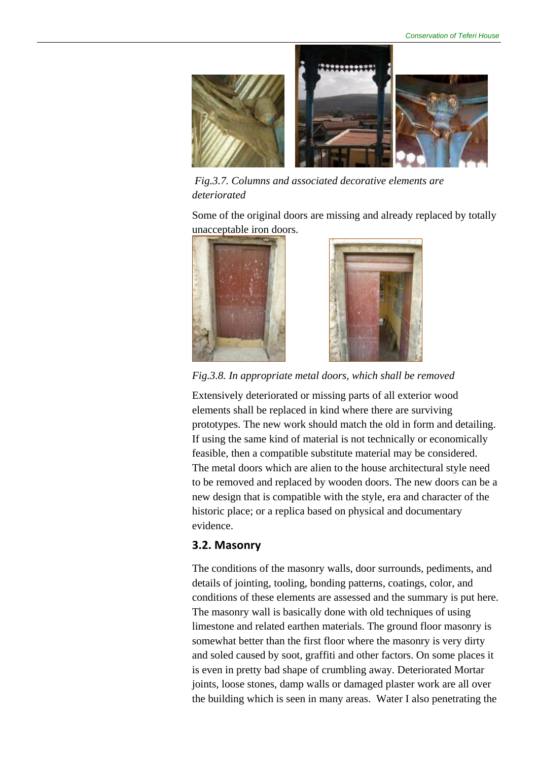

 *Fig.3.7. Columns and associated decorative elements are deteriorated* 

Some of the original doors are missing and already replaced by totally unacceptable iron doors.





*Fig.3.8. In appropriate metal doors, which shall be removed* 

Extensively deteriorated or missing parts of all exterior wood elements shall be replaced in kind where there are surviving prototypes. The new work should match the old in form and detailing. If using the same kind of material is not technically or economically feasible, then a compatible substitute material may be considered. The metal doors which are alien to the house architectural style need to be removed and replaced by wooden doors. The new doors can be a new design that is compatible with the style, era and character of the historic place; or a replica based on physical and documentary evidence.

#### **3.2. Masonry**

The conditions of the masonry walls, door surrounds, pediments, and details of jointing, tooling, bonding patterns, coatings, color, and conditions of these elements are assessed and the summary is put here. The masonry wall is basically done with old techniques of using limestone and related earthen materials. The ground floor masonry is somewhat better than the first floor where the masonry is very dirty and soled caused by soot, graffiti and other factors. On some places it is even in pretty bad shape of crumbling away. Deteriorated Mortar joints, loose stones, damp walls or damaged plaster work are all over the building which is seen in many areas. Water I also penetrating the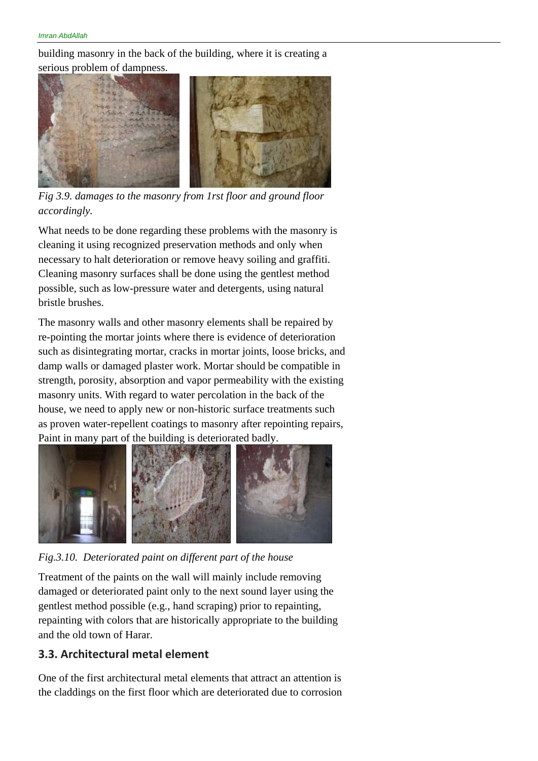building masonry in the back of the building, where it is creating a serious problem of dampness.



*Fig 3.9. damages to the masonry from 1rst floor and ground floor accordingly.* 

What needs to be done regarding these problems with the masonry is cleaning it using recognized preservation methods and only when necessary to halt deterioration or remove heavy soiling and graffiti. Cleaning masonry surfaces shall be done using the gentlest method possible, such as low-pressure water and detergents, using natural bristle brushes.

The masonry walls and other masonry elements shall be repaired by re-pointing the mortar joints where there is evidence of deterioration such as disintegrating mortar, cracks in mortar joints, loose bricks, and damp walls or damaged plaster work. Mortar should be compatible in strength, porosity, absorption and vapor permeability with the existing masonry units. With regard to water percolation in the back of the house, we need to apply new or non-historic surface treatments such as proven water-repellent coatings to masonry after repointing repairs, Paint in many part of the building is deteriorated badly.



*Fig.3.10. Deteriorated paint on different part of the house* 

Treatment of the paints on the wall will mainly include removing damaged or deteriorated paint only to the next sound layer using the gentlest method possible (e.g., hand scraping) prior to repainting, repainting with colors that are historically appropriate to the building and the old town of Harar.

#### **3.3. Architectural metal element**

One of the first architectural metal elements that attract an attention is the claddings on the first floor which are deteriorated due to corrosion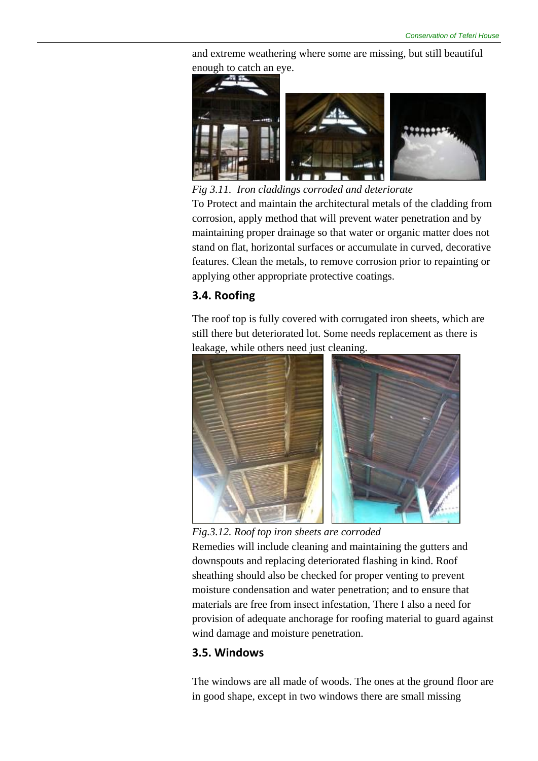and extreme weathering where some are missing, but still beautiful enough to catch an eye.



*Fig 3.11. Iron claddings corroded and deteriorate*  To Protect and maintain the architectural metals of the cladding from corrosion, apply method that will prevent water penetration and by maintaining proper drainage so that water or organic matter does not stand on flat, horizontal surfaces or accumulate in curved, decorative features. Clean the metals, to remove corrosion prior to repainting or applying other appropriate protective coatings.

### **3.4. Roofing**

The roof top is fully covered with corrugated iron sheets, which are still there but deteriorated lot. Some needs replacement as there is leakage, while others need just cleaning.



*Fig.3.12. Roof top iron sheets are corroded* 

Remedies will include cleaning and maintaining the gutters and downspouts and replacing deteriorated flashing in kind. Roof sheathing should also be checked for proper venting to prevent moisture condensation and water penetration; and to ensure that materials are free from insect infestation, There I also a need for provision of adequate anchorage for roofing material to guard against wind damage and moisture penetration.

### **3.5. Windows**

The windows are all made of woods. The ones at the ground floor are in good shape, except in two windows there are small missing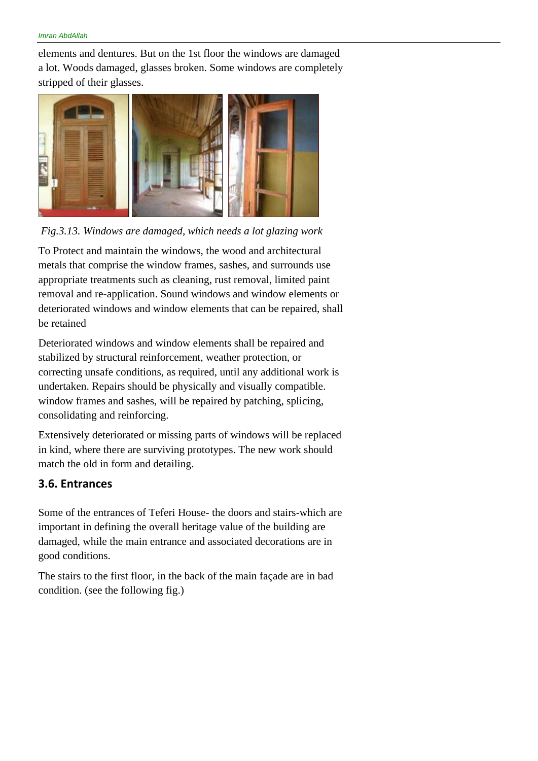elements and dentures. But on the 1st floor the windows are damaged a lot. Woods damaged, glasses broken. Some windows are completely stripped of their glasses.



 *Fig.3.13. Windows are damaged, which needs a lot glazing work* 

To Protect and maintain the windows, the wood and architectural metals that comprise the window frames, sashes, and surrounds use appropriate treatments such as cleaning, rust removal, limited paint removal and re-application. Sound windows and window elements or deteriorated windows and window elements that can be repaired, shall be retained

Deteriorated windows and window elements shall be repaired and stabilized by structural reinforcement, weather protection, or correcting unsafe conditions, as required, until any additional work is undertaken. Repairs should be physically and visually compatible. window frames and sashes, will be repaired by patching, splicing, consolidating and reinforcing.

Extensively deteriorated or missing parts of windows will be replaced in kind, where there are surviving prototypes. The new work should match the old in form and detailing.

#### **3.6. Entrances**

Some of the entrances of Teferi House- the doors and stairs-which are important in defining the overall heritage value of the building are damaged, while the main entrance and associated decorations are in good conditions.

The stairs to the first floor, in the back of the main façade are in bad condition. (see the following fig.)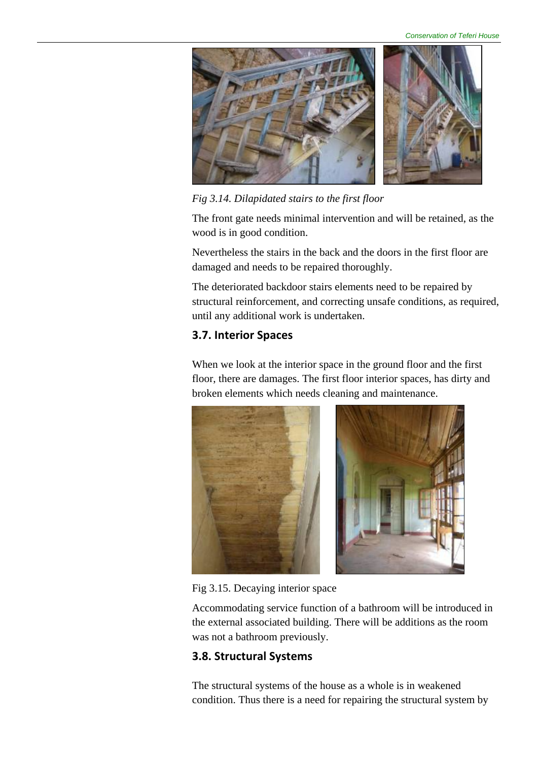*Conservation of Teferi House* 



*Fig 3.14. Dilapidated stairs to the first floor* 

The front gate needs minimal intervention and will be retained, as the wood is in good condition.

Nevertheless the stairs in the back and the doors in the first floor are damaged and needs to be repaired thoroughly.

The deteriorated backdoor stairs elements need to be repaired by structural reinforcement, and correcting unsafe conditions, as required, until any additional work is undertaken.

### **3.7. Interior Spaces**

When we look at the interior space in the ground floor and the first floor, there are damages. The first floor interior spaces, has dirty and broken elements which needs cleaning and maintenance.



Fig 3.15. Decaying interior space

Accommodating service function of a bathroom will be introduced in the external associated building. There will be additions as the room was not a bathroom previously.

### **3.8. Structural Systems**

The structural systems of the house as a whole is in weakened condition. Thus there is a need for repairing the structural system by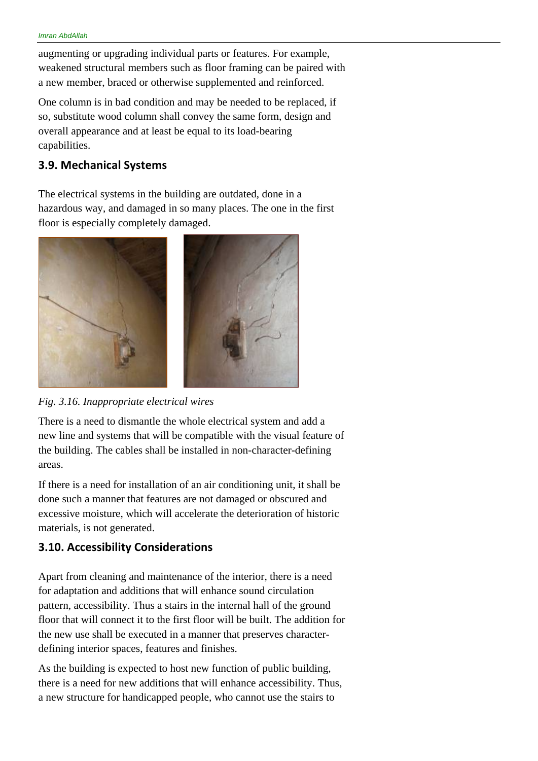augmenting or upgrading individual parts or features. For example, weakened structural members such as floor framing can be paired with a new member, braced or otherwise supplemented and reinforced.

One column is in bad condition and may be needed to be replaced, if so, substitute wood column shall convey the same form, design and overall appearance and at least be equal to its load-bearing capabilities.

### **3.9. Mechanical Systems**

The electrical systems in the building are outdated, done in a hazardous way, and damaged in so many places. The one in the first floor is especially completely damaged.





There is a need to dismantle the whole electrical system and add a new line and systems that will be compatible with the visual feature of the building. The cables shall be installed in non-character-defining areas.

If there is a need for installation of an air conditioning unit, it shall be done such a manner that features are not damaged or obscured and excessive moisture, which will accelerate the deterioration of historic materials, is not generated.

### **3.10. Accessibility Considerations**

Apart from cleaning and maintenance of the interior, there is a need for adaptation and additions that will enhance sound circulation pattern, accessibility. Thus a stairs in the internal hall of the ground floor that will connect it to the first floor will be built. The addition for the new use shall be executed in a manner that preserves characterdefining interior spaces, features and finishes.

As the building is expected to host new function of public building, there is a need for new additions that will enhance accessibility. Thus, a new structure for handicapped people, who cannot use the stairs to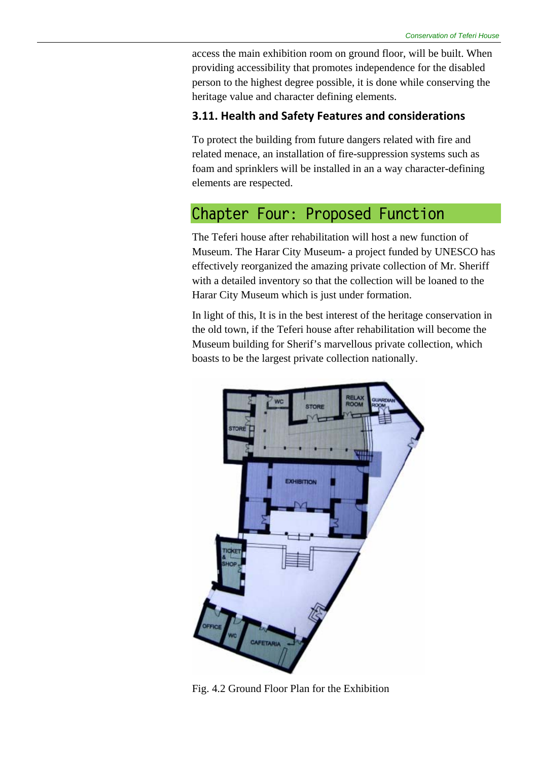access the main exhibition room on ground floor, will be built. When providing accessibility that promotes independence for the disabled person to the highest degree possible, it is done while conserving the heritage value and character defining elements.

#### **3.11. Health and Safety Features and considerations**

To protect the building from future dangers related with fire and related menace, an installation of fire-suppression systems such as foam and sprinklers will be installed in an a way character-defining elements are respected.

## **Chapter Four: Proposed Function**

The Teferi house after rehabilitation will host a new function of Museum. The Harar City Museum- a project funded by UNESCO has effectively reorganized the amazing private collection of Mr. Sheriff with a detailed inventory so that the collection will be loaned to the Harar City Museum which is just under formation.

In light of this, It is in the best interest of the heritage conservation in the old town, if the Teferi house after rehabilitation will become the Museum building for Sherif's marvellous private collection, which boasts to be the largest private collection nationally.



Fig. 4.2 Ground Floor Plan for the Exhibition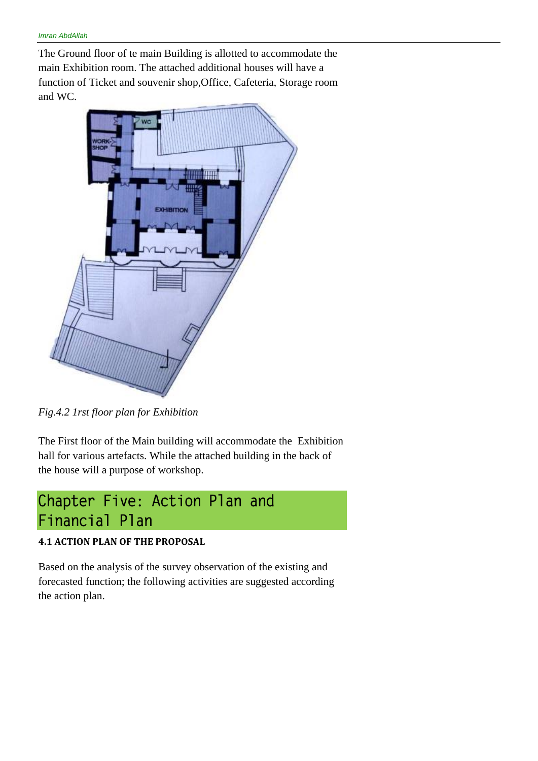The Ground floor of te main Building is allotted to accommodate the main Exhibition room. The attached additional houses will have a function of Ticket and souvenir shop,Office, Cafeteria, Storage room and WC.



*Fig.4.2 1rst floor plan for Exhibition* 

The First floor of the Main building will accommodate the Exhibition hall for various artefacts. While the attached building in the back of the house will a purpose of workshop.

## **Chapter Five: Action Plan and Financial Plan**

#### **4.1 ACTION PLAN OF THE PROPOSAL**

Based on the analysis of the survey observation of the existing and forecasted function; the following activities are suggested according the action plan.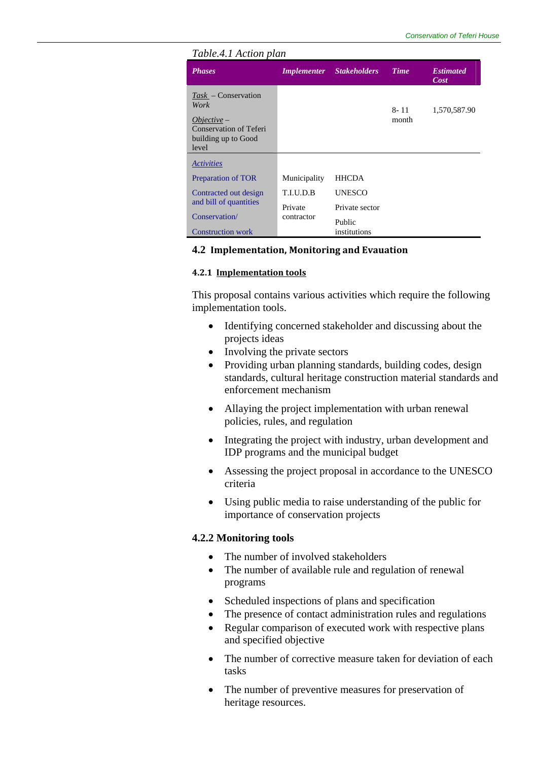| Table.4.1 Action plan                                                                                    |              |                                 |                   |                          |  |  |  |
|----------------------------------------------------------------------------------------------------------|--------------|---------------------------------|-------------------|--------------------------|--|--|--|
| <b>Phases</b>                                                                                            |              | <b>Implementer</b> Stakeholders | Time              | <b>Estimated</b><br>Cost |  |  |  |
| $Task$ – Conservation<br>Work<br>$Objective -$<br>Conservation of Teferi<br>building up to Good<br>level |              |                                 | $8 - 11$<br>month | 1,570,587.90             |  |  |  |
| <b>Activities</b>                                                                                        |              |                                 |                   |                          |  |  |  |
| Preparation of TOR                                                                                       | Municipality | <b>HHCDA</b>                    |                   |                          |  |  |  |
| Contracted out design                                                                                    | T.I.U.D.B    | <b>UNESCO</b>                   |                   |                          |  |  |  |
| and bill of quantities                                                                                   | Private      | Private sector                  |                   |                          |  |  |  |
| Conservation/                                                                                            | contractor   |                                 | Public            |                          |  |  |  |
| <b>Construction work</b>                                                                                 |              | institutions                    |                   |                          |  |  |  |

#### **4.2 Implementation, Monitoring and Evauation**

#### **4.2.1 Implementation tools**

This proposal contains various activities which require the following implementation tools.

- Identifying concerned stakeholder and discussing about the projects ideas
- Involving the private sectors
- Providing urban planning standards, building codes, design standards, cultural heritage construction material standards and enforcement mechanism
- Allaying the project implementation with urban renewal policies, rules, and regulation
- Integrating the project with industry, urban development and IDP programs and the municipal budget
- Assessing the project proposal in accordance to the UNESCO criteria
- Using public media to raise understanding of the public for importance of conservation projects

#### **4.2.2 Monitoring tools**

- The number of involved stakeholders
- The number of available rule and regulation of renewal programs
- Scheduled inspections of plans and specification
- The presence of contact administration rules and regulations
- Regular comparison of executed work with respective plans and specified objective
- The number of corrective measure taken for deviation of each tasks
- The number of preventive measures for preservation of heritage resources.

#### *Table.4.1 Action plan*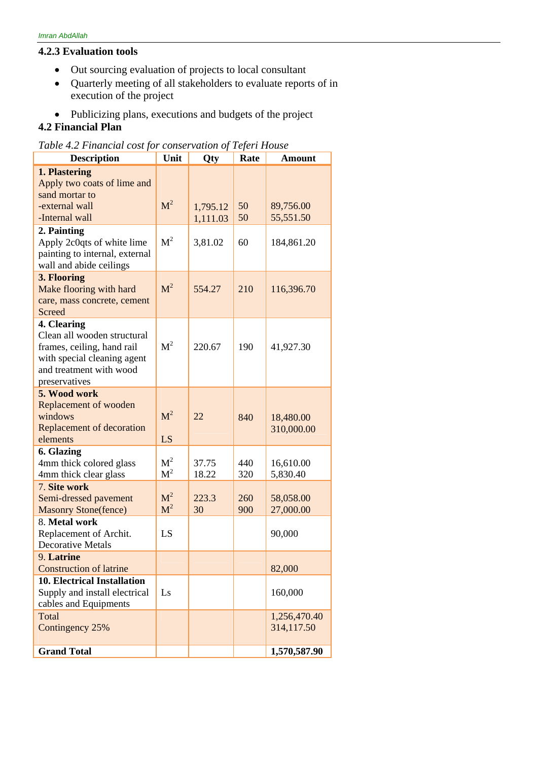#### **4.2.3 Evaluation tools**

- Out sourcing evaluation of projects to local consultant
- Quarterly meeting of all stakeholders to evaluate reports of in execution of the project
- Publicizing plans, executions and budgets of the project

### **4.2 Financial Plan**

| Table 4.2 Financial cost for conservation of Teferi House |  |  |  |  |
|-----------------------------------------------------------|--|--|--|--|
|-----------------------------------------------------------|--|--|--|--|

| <b>Description</b>                                                                                                                                  | Unit                             | Qty                  | Rate       | <b>Amount</b>              |
|-----------------------------------------------------------------------------------------------------------------------------------------------------|----------------------------------|----------------------|------------|----------------------------|
| 1. Plastering<br>Apply two coats of lime and<br>sand mortar to<br>-external wall<br>-Internal wall                                                  | M <sup>2</sup>                   | 1,795.12<br>1,111.03 | 50<br>50   | 89,756.00<br>55,551.50     |
| 2. Painting<br>Apply 2c0qts of white lime<br>painting to internal, external<br>wall and abide ceilings                                              | M <sup>2</sup>                   | 3,81.02              | 60         | 184,861.20                 |
| 3. Flooring<br>Make flooring with hard<br>care, mass concrete, cement<br><b>Screed</b>                                                              | M <sup>2</sup>                   | 554.27               | 210        | 116,396.70                 |
| 4. Clearing<br>Clean all wooden structural<br>frames, ceiling, hand rail<br>with special cleaning agent<br>and treatment with wood<br>preservatives | M <sup>2</sup>                   | 220.67               | 190        | 41,927.30                  |
| 5. Wood work<br>Replacement of wooden<br>windows<br>Replacement of decoration<br>elements                                                           | M <sup>2</sup><br>LS.            | 22                   | 840        | 18,480.00<br>310,000.00    |
| 6. Glazing<br>4mm thick colored glass<br>4mm thick clear glass                                                                                      | M <sup>2</sup><br>M <sup>2</sup> | 37.75<br>18.22       | 440<br>320 | 16,610.00<br>5,830.40      |
| 7. Site work<br>Semi-dressed pavement<br><b>Masonry Stone(fence)</b>                                                                                | M <sup>2</sup><br>M <sup>2</sup> | 223.3<br>30          | 260<br>900 | 58,058.00<br>27,000.00     |
| 8. Metal work<br>Replacement of Archit.<br><b>Decorative Metals</b>                                                                                 | LS                               |                      |            | 90,000                     |
| 9. Latrine<br><b>Construction of latrine</b>                                                                                                        |                                  |                      |            | 82,000                     |
| <b>10. Electrical Installation</b><br>Supply and install electrical<br>cables and Equipments                                                        | Ls                               |                      |            | 160,000                    |
| Total<br>Contingency 25%                                                                                                                            |                                  |                      |            | 1,256,470.40<br>314,117.50 |
| <b>Grand Total</b>                                                                                                                                  |                                  |                      |            | 1,570,587.90               |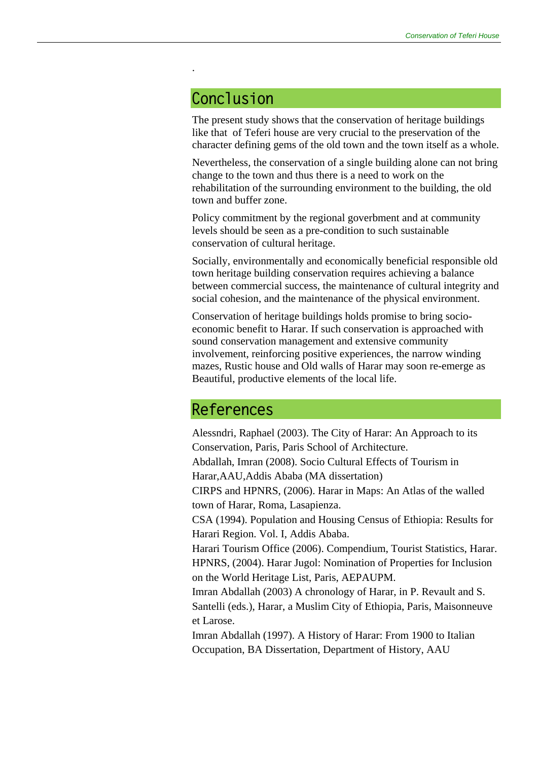## **Conclusion**

.

The present study shows that the conservation of heritage buildings like that of Teferi house are very crucial to the preservation of the character defining gems of the old town and the town itself as a whole.

Nevertheless, the conservation of a single building alone can not bring change to the town and thus there is a need to work on the rehabilitation of the surrounding environment to the building, the old town and buffer zone.

Policy commitment by the regional goverbment and at community levels should be seen as a pre-condition to such sustainable conservation of cultural heritage.

Socially, environmentally and economically beneficial responsible old town heritage building conservation requires achieving a balance between commercial success, the maintenance of cultural integrity and social cohesion, and the maintenance of the physical environment.

Conservation of heritage buildings holds promise to bring socioeconomic benefit to Harar. If such conservation is approached with sound conservation management and extensive community involvement, reinforcing positive experiences, the narrow winding mazes, Rustic house and Old walls of Harar may soon re-emerge as Beautiful, productive elements of the local life.

## **References**

Alessndri, Raphael (2003). The City of Harar: An Approach to its Conservation, Paris, Paris School of Architecture. Abdallah, Imran (2008). Socio Cultural Effects of Tourism in Harar,AAU,Addis Ababa (MA dissertation) CIRPS and HPNRS, (2006). Harar in Maps: An Atlas of the walled town of Harar, Roma, Lasapienza. CSA (1994). Population and Housing Census of Ethiopia: Results for Harari Region. Vol. I, Addis Ababa. Harari Tourism Office (2006). Compendium, Tourist Statistics, Harar. HPNRS, (2004). Harar Jugol: Nomination of Properties for Inclusion on the World Heritage List, Paris, AEPAUPM. Imran Abdallah (2003) A chronology of Harar, in P. Revault and S. Santelli (eds.), Harar, a Muslim City of Ethiopia, Paris, Maisonneuve et Larose. Imran Abdallah (1997). A History of Harar: From 1900 to Italian Occupation, BA Dissertation, Department of History, AAU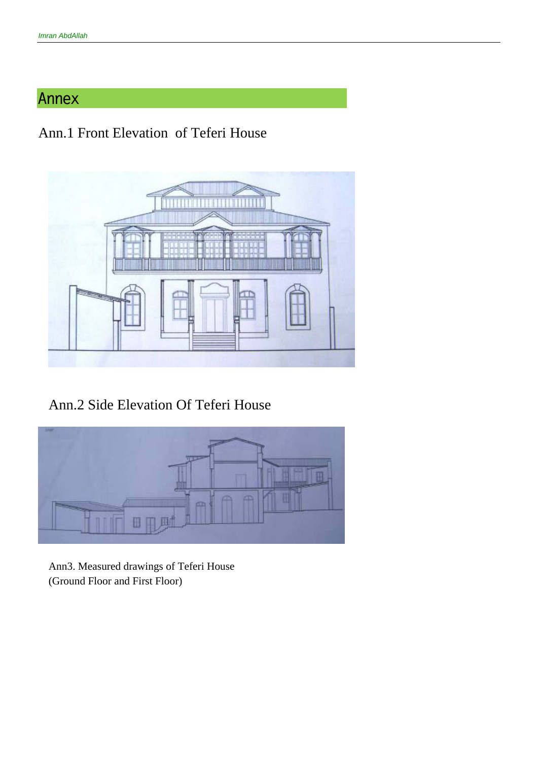## **Annex**

## Ann.1 Front Elevation of Teferi House



Ann.2 Side Elevation Of Teferi House



Ann3. Measured drawings of Teferi House (Ground Floor and First Floor)